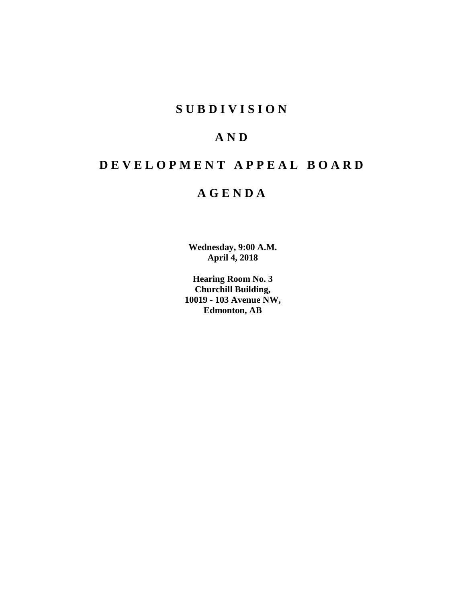## **SUBDIVISION**

## **AND**

# **DEVELOPMENT APPEAL BOARD**

## **AGENDA**

**Wednesday, 9:00 A.M. April 4, 2018**

**Hearing Room No. 3 Churchill Building, 10019 - 103 Avenue NW, Edmonton, AB**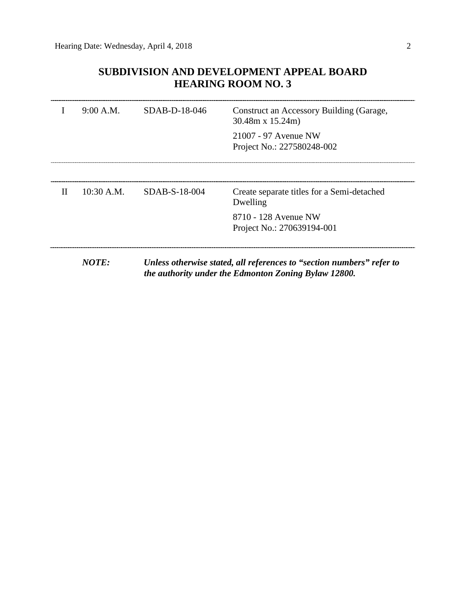## **SUBDIVISION AND DEVELOPMENT APPEAL BOARD HEARING ROOM NO. 3**

|              | 9:00 A.M.                                                                                                                     | SDAB-D-18-046 | Construct an Accessory Building (Garage,<br>$30.48m \times 15.24m$ |
|--------------|-------------------------------------------------------------------------------------------------------------------------------|---------------|--------------------------------------------------------------------|
|              |                                                                                                                               |               | 21007 - 97 Avenue NW<br>Project No.: 227580248-002                 |
|              |                                                                                                                               |               |                                                                    |
| $\mathbf{H}$ | $10:30$ A.M.                                                                                                                  | SDAB-S-18-004 | Create separate titles for a Semi-detached<br>Dwelling             |
|              |                                                                                                                               |               | 8710 - 128 Avenue NW<br>Project No.: 270639194-001                 |
|              |                                                                                                                               |               |                                                                    |
|              | Unless otherwise stated, all references to "section numbers" refer to<br>the authority under the Edmonton Zoning Bylaw 12800. |               |                                                                    |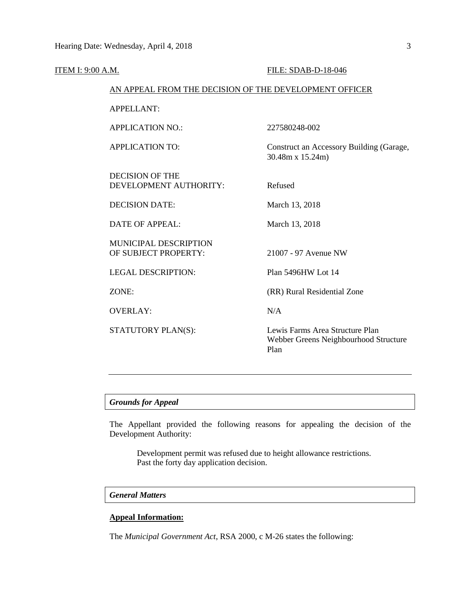| <u>ITEM I: 9:00 A.M.</u> |                                                        | FILE: SDAB-D-18-046                                                              |  |  |
|--------------------------|--------------------------------------------------------|----------------------------------------------------------------------------------|--|--|
|                          | AN APPEAL FROM THE DECISION OF THE DEVELOPMENT OFFICER |                                                                                  |  |  |
|                          | <b>APPELLANT:</b>                                      |                                                                                  |  |  |
|                          | <b>APPLICATION NO.:</b>                                | 227580248-002                                                                    |  |  |
|                          | <b>APPLICATION TO:</b>                                 | Construct an Accessory Building (Garage,<br>30.48m x 15.24m)                     |  |  |
|                          | <b>DECISION OF THE</b><br>DEVELOPMENT AUTHORITY:       | Refused                                                                          |  |  |
|                          | <b>DECISION DATE:</b>                                  | March 13, 2018                                                                   |  |  |
|                          | <b>DATE OF APPEAL:</b>                                 | March 13, 2018                                                                   |  |  |
|                          | <b>MUNICIPAL DESCRIPTION</b><br>OF SUBJECT PROPERTY:   | 21007 - 97 Avenue NW                                                             |  |  |
|                          | <b>LEGAL DESCRIPTION:</b>                              | Plan 5496HW Lot 14                                                               |  |  |
|                          | ZONE:                                                  | (RR) Rural Residential Zone                                                      |  |  |
|                          | <b>OVERLAY:</b>                                        | N/A                                                                              |  |  |
|                          | STATUTORY PLAN(S):                                     | Lewis Farms Area Structure Plan<br>Webber Greens Neighbourhood Structure<br>Plan |  |  |
|                          |                                                        |                                                                                  |  |  |

## *Grounds for Appeal*

The Appellant provided the following reasons for appealing the decision of the Development Authority:

Development permit was refused due to height allowance restrictions. Past the forty day application decision.

## *General Matters*

## **Appeal Information:**

The *Municipal Government Act*, RSA 2000, c M-26 states the following: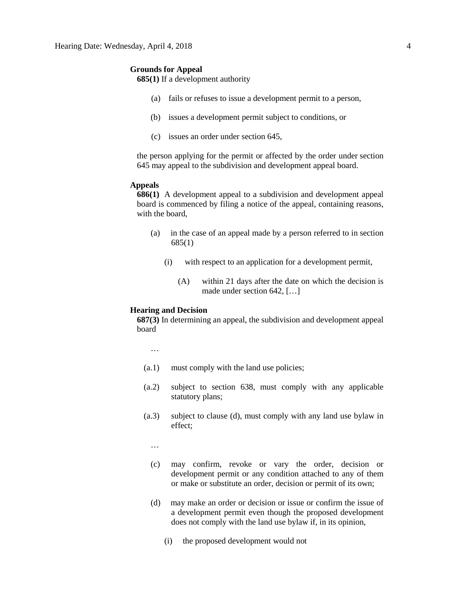#### **Grounds for Appeal**

**685(1)** If a development authority

- (a) fails or refuses to issue a development permit to a person,
- (b) issues a development permit subject to conditions, or
- (c) issues an order under section 645,

the person applying for the permit or affected by the order under section 645 may appeal to the subdivision and development appeal board.

#### **Appeals**

**686(1)** A development appeal to a subdivision and development appeal board is commenced by filing a notice of the appeal, containing reasons, with the board,

- (a) in the case of an appeal made by a person referred to in section 685(1)
	- (i) with respect to an application for a development permit,
		- (A) within 21 days after the date on which the decision is made under section 642, […]

### **Hearing and Decision**

**687(3)** In determining an appeal, the subdivision and development appeal board

…

- (a.1) must comply with the land use policies;
- (a.2) subject to section 638, must comply with any applicable statutory plans;
- (a.3) subject to clause (d), must comply with any land use bylaw in effect;

…

- (c) may confirm, revoke or vary the order, decision or development permit or any condition attached to any of them or make or substitute an order, decision or permit of its own;
- (d) may make an order or decision or issue or confirm the issue of a development permit even though the proposed development does not comply with the land use bylaw if, in its opinion,
	- (i) the proposed development would not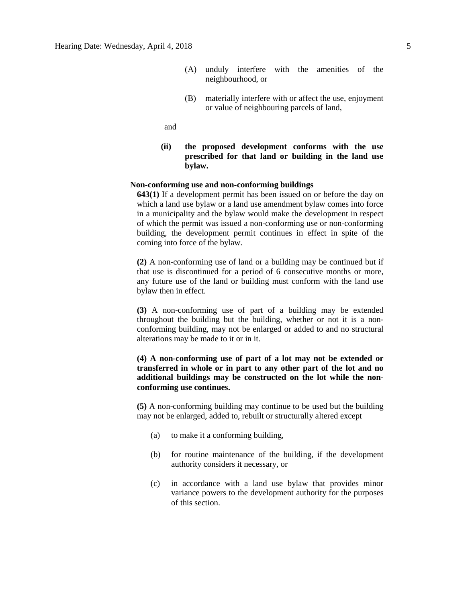- (A) unduly interfere with the amenities of the neighbourhood, or
- (B) materially interfere with or affect the use, enjoyment or value of neighbouring parcels of land,

and

**(ii) the proposed development conforms with the use prescribed for that land or building in the land use bylaw.**

#### **Non-conforming use and non-conforming buildings**

**643(1)** If a development permit has been issued on or before the day on which a land use bylaw or a land use amendment bylaw comes into force in a municipality and the bylaw would make the development in respect of which the permit was issued a non-conforming use or non-conforming building, the development permit continues in effect in spite of the coming into force of the bylaw.

**(2)** A non-conforming use of land or a building may be continued but if that use is discontinued for a period of 6 consecutive months or more, any future use of the land or building must conform with the land use bylaw then in effect.

**(3)** A non-conforming use of part of a building may be extended throughout the building but the building, whether or not it is a nonconforming building, may not be enlarged or added to and no structural alterations may be made to it or in it.

## **(4) A non-conforming use of part of a lot may not be extended or transferred in whole or in part to any other part of the lot and no additional buildings may be constructed on the lot while the nonconforming use continues.**

**(5)** A non-conforming building may continue to be used but the building may not be enlarged, added to, rebuilt or structurally altered except

- (a) to make it a conforming building,
- (b) for routine maintenance of the building, if the development authority considers it necessary, or
- (c) in accordance with a land use bylaw that provides minor variance powers to the development authority for the purposes of this section.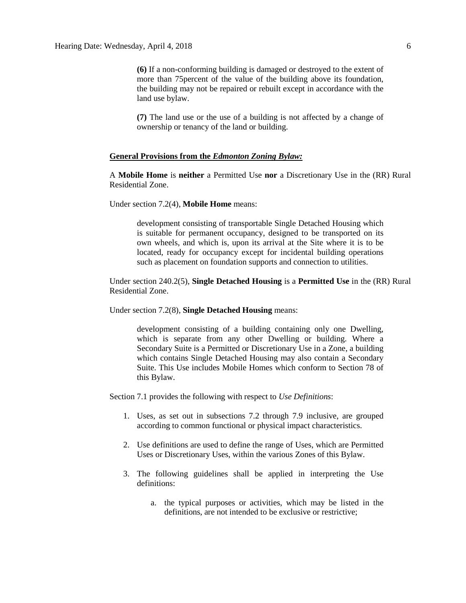**(6)** If a non-conforming building is damaged or destroyed to the extent of more than 75percent of the value of the building above its foundation, the building may not be repaired or rebuilt except in accordance with the land use bylaw.

**(7)** The land use or the use of a building is not affected by a change of ownership or tenancy of the land or building.

#### **General Provisions from the** *Edmonton Zoning Bylaw:*

A **Mobile Home** is **neither** a Permitted Use **nor** a Discretionary Use in the (RR) Rural Residential Zone.

Under section 7.2(4), **Mobile Home** means:

development consisting of transportable Single Detached Housing which is suitable for permanent occupancy, designed to be transported on its own wheels, and which is, upon its arrival at the Site where it is to be located, ready for occupancy except for incidental building operations such as placement on foundation supports and connection to utilities.

Under section 240.2(5), **Single Detached Housing** is a **Permitted Use** in the (RR) Rural Residential Zone.

Under section 7.2(8), **Single Detached Housing** means:

development consisting of a building containing only one Dwelling, which is separate from any other Dwelling or building. Where a Secondary Suite is a Permitted or Discretionary Use in a Zone, a building which contains Single Detached Housing may also contain a Secondary Suite. This Use includes Mobile Homes which conform to Section 78 of this Bylaw.

Section 7.1 provides the following with respect to *Use Definitions*:

- 1. Uses, as set out in subsections 7.2 through 7.9 inclusive, are grouped according to common functional or physical impact characteristics.
- 2. Use definitions are used to define the range of Uses, which are Permitted Uses or Discretionary Uses, within the various Zones of this Bylaw.
- 3. The following guidelines shall be applied in interpreting the Use definitions:
	- a. the typical purposes or activities, which may be listed in the definitions, are not intended to be exclusive or restrictive;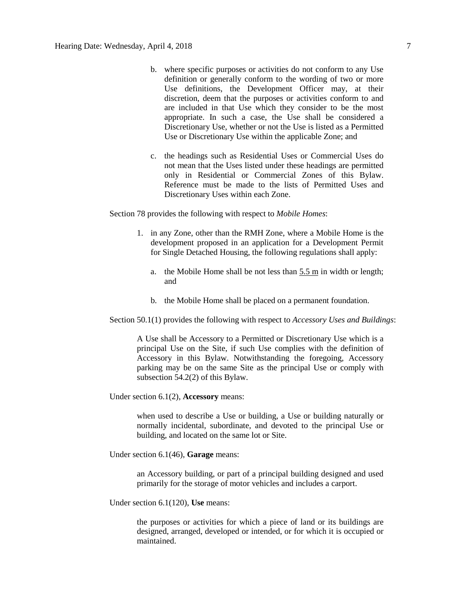- b. where specific purposes or activities do not conform to any Use definition or generally conform to the wording of two or more Use definitions, the Development Officer may, at their discretion, deem that the purposes or activities conform to and are included in that Use which they consider to be the most appropriate. In such a case, the Use shall be considered a Discretionary Use, whether or not the Use is listed as a Permitted Use or Discretionary Use within the applicable Zone; and
- c. the headings such as Residential Uses or Commercial Uses do not mean that the Uses listed under these headings are permitted only in Residential or Commercial Zones of this Bylaw. Reference must be made to the lists of Permitted Uses and Discretionary Uses within each Zone.

Section 78 provides the following with respect to *Mobile Homes*:

- 1. in any Zone, other than the [RMH](http://webdocs.edmonton.ca/InfraPlan/zoningbylaw/ZoningBylaw/Part2/Residential/250_(RMH)_Mobile_Home_Zone.htm) Zone, where a Mobile Home is the development proposed in an application for a Development Permit for Single Detached Housing, the following regulations shall apply:
	- a. the [Mobile Home](javascript:void(0);) shall be not less than  $5.5 \text{ m}$  in width or length; and
	- b. the Mobile Home shall be placed on a permanent foundation.

Section 50.1(1) provides the following with respect to *Accessory Uses and Buildings*:

A Use shall be Accessory to a Permitted or Discretionary Use which is a principal Use on the Site, if such Use complies with the definition of Accessory in this Bylaw. Notwithstanding the foregoing, Accessory parking may be on the same Site as the principal Use or comply with subsection 54.2(2) of this Bylaw.

Under section 6.1(2), **Accessory** means:

when used to describe a Use or building, a Use or building naturally or normally incidental, subordinate, and devoted to the principal Use or building, and located on the same lot or Site.

Under section 6.1(46), **Garage** means:

an Accessory building, or part of a principal building designed and used primarily for the storage of motor vehicles and includes a carport.

Under section 6.1(120), **Use** means:

the purposes or activities for which a piece of land or its buildings are designed, arranged, developed or intended, or for which it is occupied or maintained.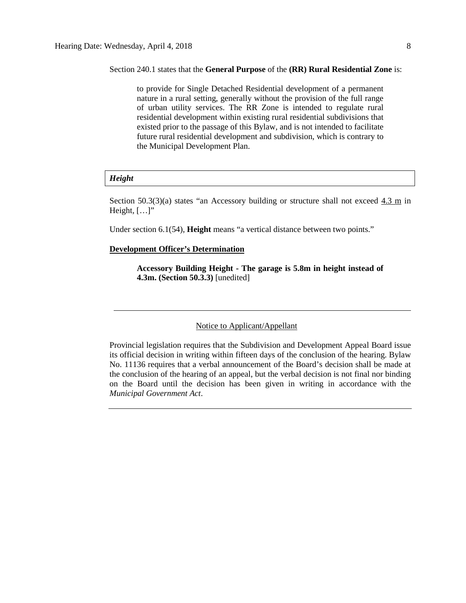Section 240.1 states that the **General Purpose** of the **(RR) Rural Residential Zone** is:

to provide for Single Detached Residential development of a permanent nature in a rural setting, generally without the provision of the full range of urban utility services. The RR Zone is intended to regulate rural residential development within existing rural residential subdivisions that existed prior to the passage of this Bylaw, and is not intended to facilitate future rural residential development and subdivision, which is contrary to the Municipal Development Plan.

#### *Height*

Section 50.3(3)(a) states "an Accessory building or structure shall not exceed  $4.3 \text{ m}$  in Height,  $[...]$ "

Under section 6.1(54), **Height** means "a vertical distance between two points."

#### **Development Officer's Determination**

**Accessory Building Height - The garage is 5.8m in height instead of 4.3m. (Section 50.3.3)** [unedited]

## Notice to Applicant/Appellant

Provincial legislation requires that the Subdivision and Development Appeal Board issue its official decision in writing within fifteen days of the conclusion of the hearing. Bylaw No. 11136 requires that a verbal announcement of the Board's decision shall be made at the conclusion of the hearing of an appeal, but the verbal decision is not final nor binding on the Board until the decision has been given in writing in accordance with the *Municipal Government Act*.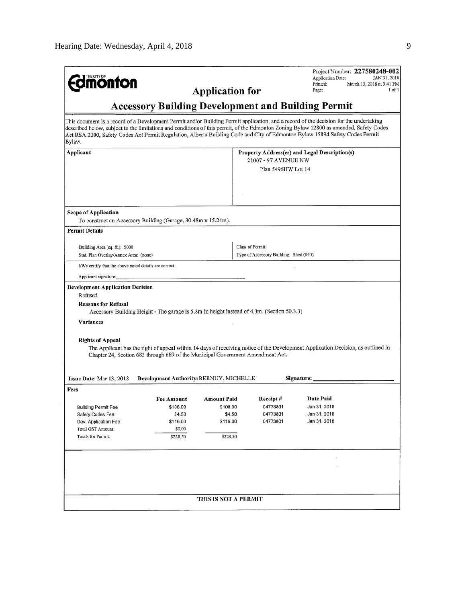|                                                                                                                                                                                                                                                                                                                                                                                                                            |                                                                                |                        |                                               | Project Number: 227580248-002<br>Application Date:                                                                               | JAN 31, 2018              |  |  |  |  |
|----------------------------------------------------------------------------------------------------------------------------------------------------------------------------------------------------------------------------------------------------------------------------------------------------------------------------------------------------------------------------------------------------------------------------|--------------------------------------------------------------------------------|------------------------|-----------------------------------------------|----------------------------------------------------------------------------------------------------------------------------------|---------------------------|--|--|--|--|
| <b>dmonton</b>                                                                                                                                                                                                                                                                                                                                                                                                             |                                                                                | <b>Application for</b> |                                               | Printed:                                                                                                                         | March 13, 2018 at 3:41 PM |  |  |  |  |
|                                                                                                                                                                                                                                                                                                                                                                                                                            | Page:<br>1 of 1                                                                |                        |                                               |                                                                                                                                  |                           |  |  |  |  |
| <b>Accessory Building Development and Building Permit</b>                                                                                                                                                                                                                                                                                                                                                                  |                                                                                |                        |                                               |                                                                                                                                  |                           |  |  |  |  |
| This document is a record of a Development Permit and/or Building Permit application, and a record of the decision for the undertaking<br>described below, subject to the limitations and conditions of this permit, of the Edmonton Zoning Bylaw 12800 as amended, Safety Codes<br>Act RSA 2000, Safety Codes Act Permit Regulation, Alberta Building Code and City of Edmonton Bylaw 15894 Safety Codes Permit<br>Bylaw. |                                                                                |                        |                                               |                                                                                                                                  |                           |  |  |  |  |
| Applicant                                                                                                                                                                                                                                                                                                                                                                                                                  |                                                                                |                        | Property Address(es) and Legal Description(s) |                                                                                                                                  |                           |  |  |  |  |
|                                                                                                                                                                                                                                                                                                                                                                                                                            |                                                                                |                        | 21007 - 97 AVENUE NW                          |                                                                                                                                  |                           |  |  |  |  |
|                                                                                                                                                                                                                                                                                                                                                                                                                            |                                                                                |                        | Plan 5496HW Lot 14                            |                                                                                                                                  |                           |  |  |  |  |
|                                                                                                                                                                                                                                                                                                                                                                                                                            |                                                                                |                        |                                               |                                                                                                                                  |                           |  |  |  |  |
|                                                                                                                                                                                                                                                                                                                                                                                                                            |                                                                                |                        |                                               |                                                                                                                                  |                           |  |  |  |  |
| Scope of Application                                                                                                                                                                                                                                                                                                                                                                                                       |                                                                                |                        |                                               |                                                                                                                                  |                           |  |  |  |  |
| To construct an Accessory Building (Garage, 30.48m x 15.24m).                                                                                                                                                                                                                                                                                                                                                              |                                                                                |                        |                                               |                                                                                                                                  |                           |  |  |  |  |
| Permit Details                                                                                                                                                                                                                                                                                                                                                                                                             |                                                                                |                        |                                               |                                                                                                                                  |                           |  |  |  |  |
| Building Area (sq. ft.): 5000                                                                                                                                                                                                                                                                                                                                                                                              |                                                                                |                        | Class of Permit:                              |                                                                                                                                  |                           |  |  |  |  |
| Stat. Plan Overlay/Annex Area: (nonc)                                                                                                                                                                                                                                                                                                                                                                                      |                                                                                |                        | Type of Accessory Building: Shed (040)        |                                                                                                                                  |                           |  |  |  |  |
| I/We certify that the above noted details are correct.                                                                                                                                                                                                                                                                                                                                                                     |                                                                                |                        |                                               |                                                                                                                                  |                           |  |  |  |  |
| Applicant signature:                                                                                                                                                                                                                                                                                                                                                                                                       |                                                                                |                        |                                               |                                                                                                                                  |                           |  |  |  |  |
| <b>Development Application Decision</b>                                                                                                                                                                                                                                                                                                                                                                                    |                                                                                |                        |                                               |                                                                                                                                  |                           |  |  |  |  |
| Refused                                                                                                                                                                                                                                                                                                                                                                                                                    |                                                                                |                        |                                               |                                                                                                                                  |                           |  |  |  |  |
| <b>Reasons for Refusal</b><br>Accessory Building Height - The garage is 5.8m in height instead of 4.3m. (Section 50.3.3)                                                                                                                                                                                                                                                                                                   |                                                                                |                        |                                               |                                                                                                                                  |                           |  |  |  |  |
| Variances                                                                                                                                                                                                                                                                                                                                                                                                                  |                                                                                |                        |                                               |                                                                                                                                  |                           |  |  |  |  |
|                                                                                                                                                                                                                                                                                                                                                                                                                            |                                                                                |                        |                                               |                                                                                                                                  |                           |  |  |  |  |
| <b>Rights of Appeal</b>                                                                                                                                                                                                                                                                                                                                                                                                    |                                                                                |                        |                                               | The Applicant has the right of appeal within 14 days of receiving notice of the Development Application Decision, as outlined in |                           |  |  |  |  |
|                                                                                                                                                                                                                                                                                                                                                                                                                            | Chapter 24, Section 683 through 689 of the Municipal Government Amendment Act. |                        |                                               |                                                                                                                                  |                           |  |  |  |  |
|                                                                                                                                                                                                                                                                                                                                                                                                                            |                                                                                |                        |                                               |                                                                                                                                  |                           |  |  |  |  |
| Issue Date: Mar 13, 2018                                                                                                                                                                                                                                                                                                                                                                                                   | <b>Development Authority: BERNUY, MICHELLE</b>                                 |                        |                                               | Signature:                                                                                                                       |                           |  |  |  |  |
| Fees                                                                                                                                                                                                                                                                                                                                                                                                                       |                                                                                |                        |                                               |                                                                                                                                  |                           |  |  |  |  |
|                                                                                                                                                                                                                                                                                                                                                                                                                            | <b>Fee Amount</b>                                                              | <b>Amount Paid</b>     | Receipt #                                     | Date Paid                                                                                                                        |                           |  |  |  |  |
| <b>Building Permit Fee</b>                                                                                                                                                                                                                                                                                                                                                                                                 | \$108.00                                                                       | \$108.00               | 04773801                                      | Jan 31, 2018                                                                                                                     |                           |  |  |  |  |
| Safety Codes Fee                                                                                                                                                                                                                                                                                                                                                                                                           | \$4.50                                                                         | \$4.50                 | 04773801                                      | Jan 31, 2018                                                                                                                     |                           |  |  |  |  |
| Dev. Application Fee                                                                                                                                                                                                                                                                                                                                                                                                       | \$116.00                                                                       | \$116.00               | 04773801                                      | Jan 31, 2018                                                                                                                     |                           |  |  |  |  |
| Total GST Amount:                                                                                                                                                                                                                                                                                                                                                                                                          | \$0.00                                                                         |                        |                                               |                                                                                                                                  |                           |  |  |  |  |
| Totals for Permit:                                                                                                                                                                                                                                                                                                                                                                                                         | \$228.50                                                                       | \$228.50               |                                               |                                                                                                                                  |                           |  |  |  |  |
|                                                                                                                                                                                                                                                                                                                                                                                                                            |                                                                                |                        |                                               |                                                                                                                                  |                           |  |  |  |  |
|                                                                                                                                                                                                                                                                                                                                                                                                                            |                                                                                |                        |                                               |                                                                                                                                  |                           |  |  |  |  |
|                                                                                                                                                                                                                                                                                                                                                                                                                            |                                                                                |                        |                                               |                                                                                                                                  |                           |  |  |  |  |
|                                                                                                                                                                                                                                                                                                                                                                                                                            |                                                                                |                        |                                               |                                                                                                                                  |                           |  |  |  |  |
|                                                                                                                                                                                                                                                                                                                                                                                                                            |                                                                                |                        |                                               |                                                                                                                                  |                           |  |  |  |  |
|                                                                                                                                                                                                                                                                                                                                                                                                                            |                                                                                | THIS IS NOT A PERMIT   |                                               |                                                                                                                                  |                           |  |  |  |  |
|                                                                                                                                                                                                                                                                                                                                                                                                                            |                                                                                |                        |                                               |                                                                                                                                  |                           |  |  |  |  |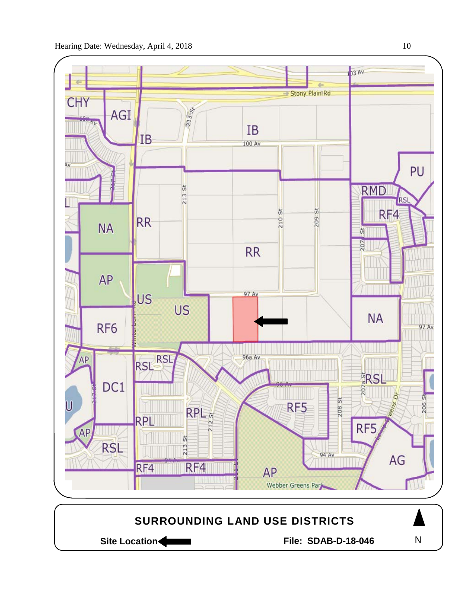

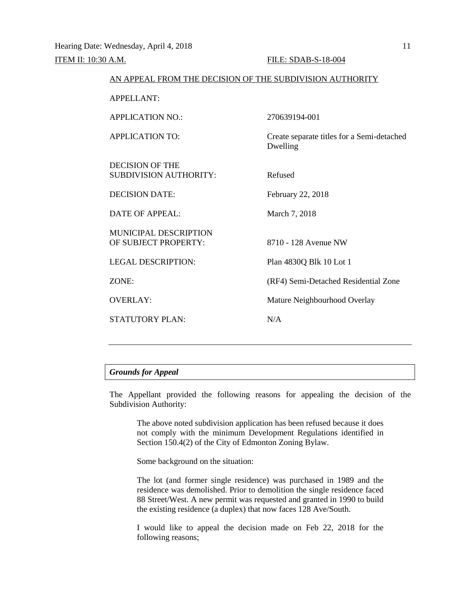| AN ALLEAL FROM THE DECISION OF THE SUBDIVISION AUTHORITY |                                                        |
|----------------------------------------------------------|--------------------------------------------------------|
| <b>APPELLANT:</b>                                        |                                                        |
| <b>APPLICATION NO.:</b>                                  | 270639194-001                                          |
| <b>APPLICATION TO:</b>                                   | Create separate titles for a Semi-detached<br>Dwelling |
| <b>DECISION OF THE</b><br><b>SUBDIVISION AUTHORITY:</b>  | Refused                                                |
| <b>DECISION DATE:</b>                                    | February 22, 2018                                      |
| <b>DATE OF APPEAL:</b>                                   | March 7, 2018                                          |
| MUNICIPAL DESCRIPTION<br>OF SUBJECT PROPERTY:            | 8710 - 128 Avenue NW                                   |
| <b>LEGAL DESCRIPTION:</b>                                | Plan 4830Q Blk 10 Lot 1                                |
| ZONE:                                                    | (RF4) Semi-Detached Residential Zone                   |
| <b>OVERLAY:</b>                                          | Mature Neighbourhood Overlay                           |
| <b>STATUTORY PLAN:</b>                                   | N/A                                                    |
|                                                          |                                                        |

AN APPEAL FROM THE DECISION OF THE SUBDIVISION AUTHORITY

## *Grounds for Appeal*

The Appellant provided the following reasons for appealing the decision of the Subdivision Authority:

The above noted subdivision application has been refused because it does not comply with the minimum Development Regulations identified in Section 150.4(2) of the City of Edmonton Zoning Bylaw.

Some background on the situation:

The lot (and former single residence) was purchased in 1989 and the residence was demolished. Prior to demolition the single residence faced 88 Street/West. A new permit was requested and granted in 1990 to build the existing residence (a duplex) that now faces 128 Ave/South.

I would like to appeal the decision made on Feb 22, 2018 for the following reasons;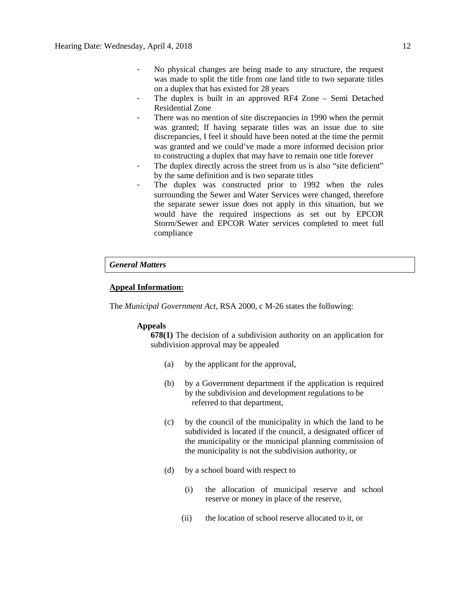- No physical changes are being made to any structure, the request was made to split the title from one land title to two separate titles on a duplex that has existed for 28 years
- The duplex is built in an approved RF4 Zone Semi Detached Residential Zone
- There was no mention of site discrepancies in 1990 when the permit was granted; If having separate titles was an issue due to site discrepancies, I feel it should have been noted at the time the permit was granted and we could've made a more informed decision prior to constructing a duplex that may have to remain one title forever
- The duplex directly across the street from us is also "site deficient" by the same definition and is two separate titles
- The duplex was constructed prior to 1992 when the rules surrounding the Sewer and Water Services were changed, therefore the separate sewer issue does not apply in this situation, but we would have the required inspections as set out by EPCOR Storm/Sewer and EPCOR Water services completed to meet full compliance

### *General Matters*

#### **Appeal Information:**

The *Municipal Government Act*, RSA 2000, c M-26 states the following:

#### **Appeals**

**678(1)** The decision of a subdivision authority on an application for subdivision approval may be appealed

- (a) by the applicant for the approval,
- (b) by a Government department if the application is required by the subdivision and development regulations to be referred to that department,
- (c) by the council of the municipality in which the land to be subdivided is located if the council, a designated officer of the municipality or the municipal planning commission of the municipality is not the subdivision authority, or
- (d) by a school board with respect to
	- (i) the allocation of municipal reserve and school reserve or money in place of the reserve,
	- (ii) the location of school reserve allocated to it, or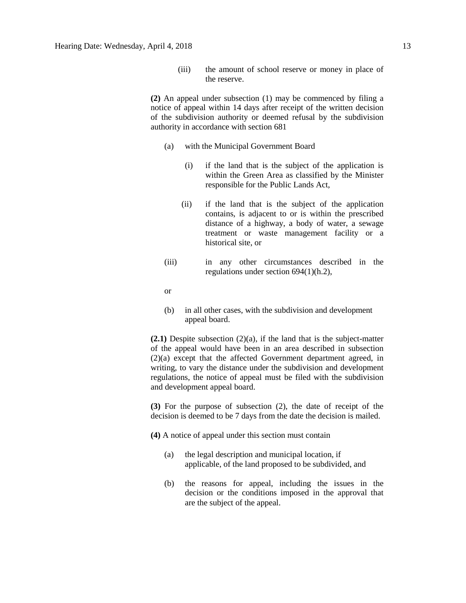(iii) the amount of school reserve or money in place of the reserve.

**(2)** An appeal under subsection (1) may be commenced by filing a notice of appeal within 14 days after receipt of the written decision of the subdivision authority or deemed refusal by the subdivision authority in accordance with section 681

- (a) with the Municipal Government Board
	- (i) if the land that is the subject of the application is within the Green Area as classified by the Minister responsible for the Public Lands Act,
	- (ii) if the land that is the subject of the application contains, is adjacent to or is within the prescribed distance of a highway, a body of water, a sewage treatment or waste management facility or a historical site, or
- (iii) in any other circumstances described in the regulations under section 694(1)(h.2),

or

(b) in all other cases, with the subdivision and development appeal board.

**(2.1)** Despite subsection (2)(a), if the land that is the subject-matter of the appeal would have been in an area described in subsection (2)(a) except that the affected Government department agreed, in writing, to vary the distance under the subdivision and development regulations, the notice of appeal must be filed with the subdivision and development appeal board.

**(3)** For the purpose of subsection (2), the date of receipt of the decision is deemed to be 7 days from the date the decision is mailed.

**(4)** A notice of appeal under this section must contain

- (a) the legal description and municipal location, if applicable, of the land proposed to be subdivided, and
- (b) the reasons for appeal, including the issues in the decision or the conditions imposed in the approval that are the subject of the appeal.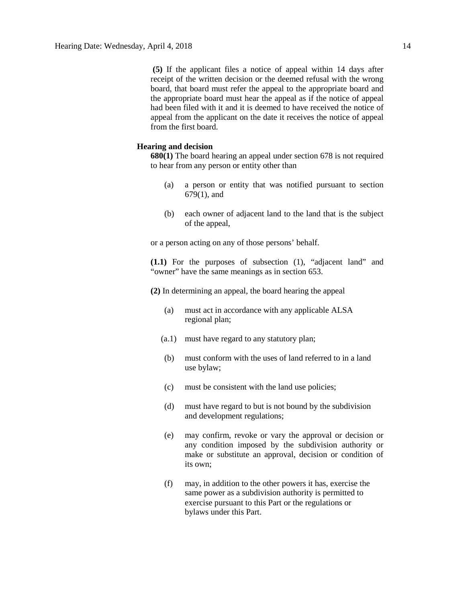**(5)** If the applicant files a notice of appeal within 14 days after receipt of the written decision or the deemed refusal with the wrong board, that board must refer the appeal to the appropriate board and the appropriate board must hear the appeal as if the notice of appeal had been filed with it and it is deemed to have received the notice of appeal from the applicant on the date it receives the notice of appeal from the first board.

### **Hearing and decision**

**680(1)** The board hearing an appeal under section 678 is not required to hear from any person or entity other than

- (a) a person or entity that was notified pursuant to section 679(1), and
- (b) each owner of adjacent land to the land that is the subject of the appeal,

or a person acting on any of those persons' behalf.

**(1.1)** For the purposes of subsection (1), "adjacent land" and "owner" have the same meanings as in section 653.

**(2)** In determining an appeal, the board hearing the appeal

- (a) must act in accordance with any applicable ALSA regional plan;
- (a.1) must have regard to any statutory plan;
- (b) must conform with the uses of land referred to in a land use bylaw;
- (c) must be consistent with the land use policies;
- (d) must have regard to but is not bound by the subdivision and development regulations;
- (e) may confirm, revoke or vary the approval or decision or any condition imposed by the subdivision authority or make or substitute an approval, decision or condition of its own;
- (f) may, in addition to the other powers it has, exercise the same power as a subdivision authority is permitted to exercise pursuant to this Part or the regulations or bylaws under this Part.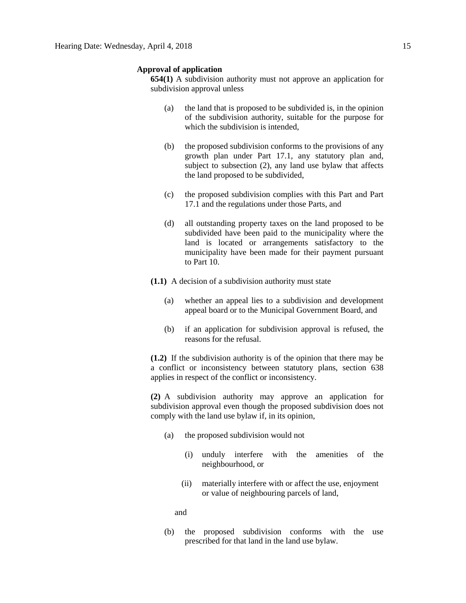#### **Approval of application**

**654(1)** A subdivision authority must not approve an application for subdivision approval unless

- (a) the land that is proposed to be subdivided is, in the opinion of the subdivision authority, suitable for the purpose for which the subdivision is intended.
- (b) the proposed subdivision conforms to the provisions of any growth plan under Part 17.1, any statutory plan and, subject to subsection (2), any land use bylaw that affects the land proposed to be subdivided,
- (c) the proposed subdivision complies with this Part and Part 17.1 and the regulations under those Parts, and
- (d) all outstanding property taxes on the land proposed to be subdivided have been paid to the municipality where the land is located or arrangements satisfactory to the municipality have been made for their payment pursuant to Part 10.
- **(1.1)** A decision of a subdivision authority must state
	- (a) whether an appeal lies to a subdivision and development appeal board or to the Municipal Government Board, and
	- (b) if an application for subdivision approval is refused, the reasons for the refusal.

**(1.2)** If the subdivision authority is of the opinion that there may be a conflict or inconsistency between statutory plans, section 638 applies in respect of the conflict or inconsistency.

**(2)** A subdivision authority may approve an application for subdivision approval even though the proposed subdivision does not comply with the land use bylaw if, in its opinion,

- (a) the proposed subdivision would not
	- (i) unduly interfere with the amenities of the neighbourhood, or
	- (ii) materially interfere with or affect the use, enjoyment or value of neighbouring parcels of land,

and

(b) the proposed subdivision conforms with the use prescribed for that land in the land use bylaw.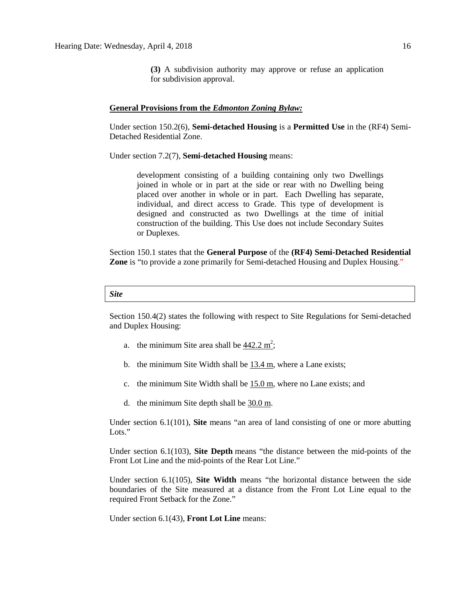**(3)** A subdivision authority may approve or refuse an application for subdivision approval.

#### **General Provisions from the** *Edmonton Zoning Bylaw:*

Under section 150.2(6), **Semi-detached Housing** is a **Permitted Use** in the (RF4) Semi-Detached Residential Zone.

Under section 7.2(7), **Semi-detached Housing** means:

development consisting of a building containing only two Dwellings joined in whole or in part at the side or rear with no Dwelling being placed over another in whole or in part. Each Dwelling has separate, individual, and direct access to Grade. This type of development is designed and constructed as two Dwellings at the time of initial construction of the building. This Use does not include Secondary Suites or Duplexes.

Section 150.1 states that the **General Purpose** of the **(RF4) Semi-Detached Residential Zone** is "to provide a zone primarily for Semi-detached Housing and Duplex Housing."

#### *Site*

Section 150.4(2) states the following with respect to Site Regulations for Semi-detached and Duplex Housing:

- a. the minimum Site area shall be  $442.2 \text{ m}^2$ ;
- b. the minimum Site Width shall be  $13.4$  m, where a Lane exists;
- c. the minimum Site Width shall be  $15.0 \text{ m}$ , where no Lane exists; and
- d. the minimum Site depth shall be [30.0 m.](javascript:void(0);)

Under section 6.1(101), **Site** means "an area of land consisting of one or more abutting Lots."

Under section 6.1(103), **Site Depth** means "the distance between the mid-points of the Front Lot Line and the mid-points of the Rear Lot Line."

Under section 6.1(105), **Site Width** means "the horizontal distance between the side boundaries of the Site measured at a distance from the Front Lot Line equal to the required Front Setback for the Zone."

Under section 6.1(43), **Front Lot Line** means: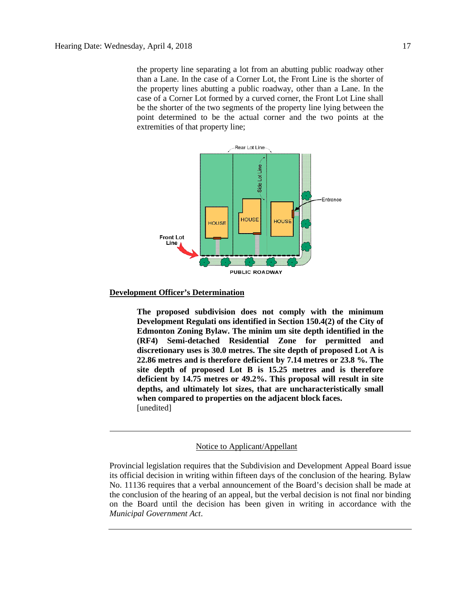the property line separating a lot from an abutting public roadway other than a Lane. In the case of a Corner Lot, the Front Line is the shorter of the property lines abutting a public roadway, other than a Lane. In the case of a Corner Lot formed by a curved corner, the Front Lot Line shall be the shorter of the two segments of the property line lying between the point determined to be the actual corner and the two points at the extremities of that property line;



### **Development Officer's Determination**

**The proposed subdivision does not comply with the minimum Development Regulati ons identified in Section 150.4(2) of the City of Edmonton Zoning Bylaw. The minim um site depth identified in the (RF4) Semi-detached Residential Zone for permitted and discretionary uses is 30.0 metres. The site depth of proposed Lot A is 22.86 metres and is therefore deficient by 7.14 metres or 23.8 %. The site depth of proposed Lot B is 15.25 metres and is therefore deficient by 14.75 metres or 49.2%. This proposal will result in site depths, and ultimately lot sizes, that are uncharacteristically small when compared to properties on the adjacent block faces.** [unedited]

#### Notice to Applicant/Appellant

Provincial legislation requires that the Subdivision and Development Appeal Board issue its official decision in writing within fifteen days of the conclusion of the hearing. Bylaw No. 11136 requires that a verbal announcement of the Board's decision shall be made at the conclusion of the hearing of an appeal, but the verbal decision is not final nor binding on the Board until the decision has been given in writing in accordance with the *Municipal Government Act*.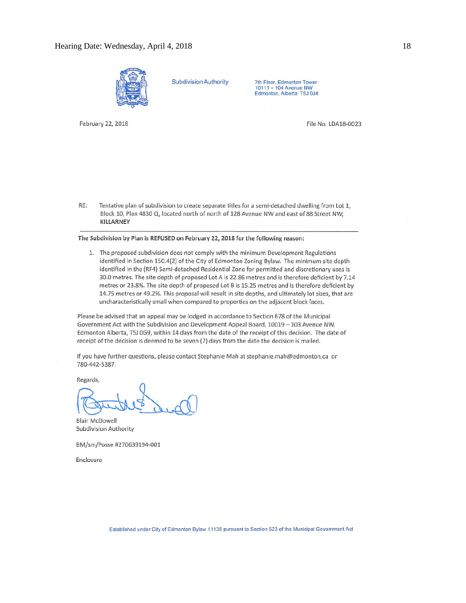

**Subdivision Authority** 

7th Floor, Edmonton Tower 10111 - 104 Avenue NW Edmonton, Alberta T5J 0J4

February 22, 2018

File No. LDA18-0023

RE: Tentative plan of subdivision to create separate titles for a semi-detached dwelling from Lot 1, Block 10, Plan 4830 Q, located north of north of 128 Avenue NW and east of 88 Street NW; KILLARNEY

#### The Subdivision by Plan is REFUSED on February 22, 2018 for the following reason:

1. The proposed subdivision does not comply with the minimum Development Regulations identified in Section 150.4(2) of the City of Edmonton Zoning Bylaw. The minimum site depth identified in the (RF4) Semi-detached Residential Zone for permitted and discretionary uses is 30.0 metres. The site depth of proposed Lot A is 22.86 metres and is therefore deficient by 7.14 metres or 23.8%. The site depth of proposed Lot B is 15.25 metres and is therefore deficient by 14.75 metres or 49.2%. This proposal will result in site depths, and ultimately lot sizes, that are uncharacteristically small when compared to properties on the adjacent block faces.

Please be advised that an appeal may be lodged in accordance to Section 678 of the Municipal Government Act with the Subdivision and Development Appeal Board, 10019 - 103 Avenue NW, Edmonton Alberta, T5J 0G9, within 14 days from the date of the receipt of this decision. The date of receipt of the decision is deemed to be seven (7) days from the date the decision is mailed.

If you have further questions, please contact Stephanie Mah at stephanie.mah@edmonton.ca or 780-442-5387.

Regards,

**Blair McDowell** Subdivision Authority

BM/sm/Posse #270639194-001

Enclosure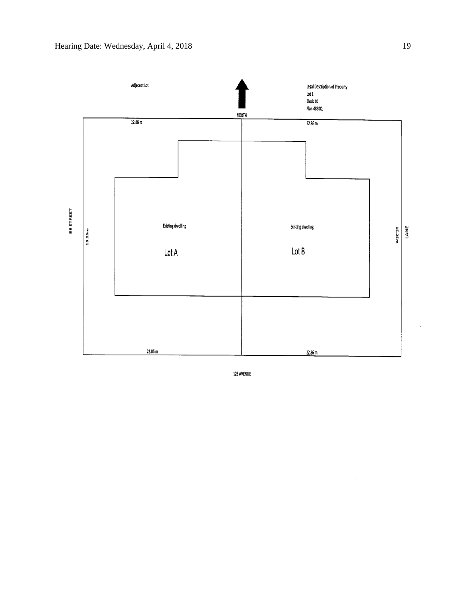

128 AVENUE